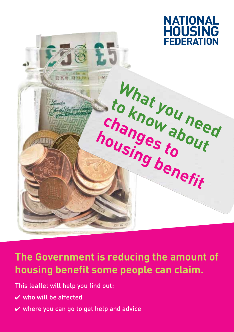

# **The Government is reducing the amount of housing benefit some people can claim.**

This leaflet will help you find out:

- $\vee$  who will be affected
- $\vee$  where you can go to get help and advice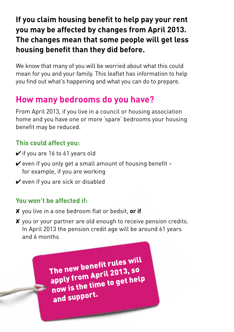#### **If you claim housing benefit to help pay your rent you may be affected by changes from April 2013. The changes mean that some people will get less housing benefit than they did before.**

We know that many of you will be worried about what this could mean for you and your family. This leaflet has information to help you find out what's happening and what you can do to prepare.

### **How many bedrooms do you have?**

From April 2013, if you live in a council or housing association home and you have one or more 'spare' bedrooms your housing benefit may be reduced.

#### **This could affect you:**

- $\checkmark$  if you are 16 to 61 years old
- $\vee$  even if you only get a small amount of housing benefit for example, if you are working
- $\vee$  even if you are sick or disabled

#### **You won't be affected if:**

- ✘ you live in a one bedroom flat or bedsit, **or if**
- ✘ you or your partner are old enough to receive pension credits. In April 2013 the pension credit age will be around 61 years and 6 months

The new benefit rules will apply from April 2013, so now is the time to get help and support.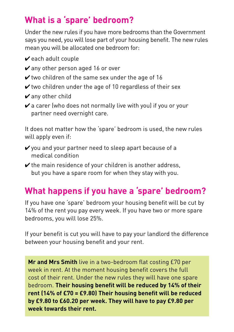## **What is a 'spare' bedroom?**

Under the new rules if you have more bedrooms than the Government says you need, you will lose part of your housing benefit. The new rules mean you will be allocated one bedroom for:

- $\boldsymbol{\nu}$  each adult couple
- $\vee$  any other person aged 16 or over
- $\vee$  two children of the same sex under the age of 16
- $\mathbf y$  two children under the age of 10 regardless of their sex
- $\boldsymbol{\checkmark}$  any other child
- $\vee$  a carer (who does not normally live with you) if you or your partner need overnight care.

It does not matter how the 'spare' bedroom is used, the new rules will apply even if:

- $\checkmark$  you and your partner need to sleep apart because of a medical condition
- $\vee$  the main residence of your children is another address, but you have a spare room for when they stay with you.

# **What happens if you have a 'spare' bedroom?**

If you have one 'spare' bedroom your housing benefit will be cut by 14% of the rent you pay every week. If you have two or more spare bedrooms, you will lose 25%.

If your benefit is cut you will have to pay your landlord the difference between your housing benefit and your rent.

**Mr and Mrs Smith** live in a two-bedroom flat costing £70 per week in rent. At the moment housing benefit covers the full cost of their rent. Under the new rules they will have one spare bedroom. **Their housing benefit will be reduced by 14% of their rent (14% of £70 = £9.80) Their housing benefit will be reduced by £9.80 to £60.20 per week. They will have to pay £9.80 per week towards their rent.**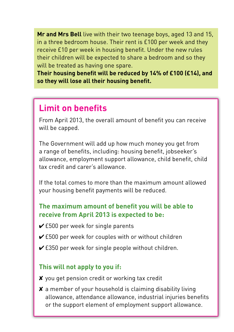**Mr and Mrs Bell** live with their two teenage boys, aged 13 and 15, in a three bedroom house. Their rent is £100 per week and they receive £10 per week in housing benefit. Under the new rules their children will be expected to share a bedroom and so they will be treated as having one spare.

**Their housing benefit will be reduced by 14% of £100 (£14), and so they will lose all their housing benefit.**

### **Limit on benefits**

From April 2013, the overall amount of benefit you can receive will be capped.

The Government will add up how much money you get from a range of benefits, including: housing benefit, jobseeker's allowance, employment support allowance, child benefit, child tax credit and carer's allowance.

If the total comes to more than the maximum amount allowed your housing benefit payments will be reduced.

#### **The maximum amount of benefit you will be able to receive from April 2013 is expected to be:**

- $\checkmark$  £500 per week for single parents
- $\checkmark$  £500 per week for couples with or without children
- $\checkmark$  £350 per week for single people without children.

#### **This will not apply to you if:**

- ✘ you get pension credit or working tax credit
- ✘ a member of your household is claiming disability living allowance, attendance allowance, industrial injuries benefits or the support element of employment support allowance.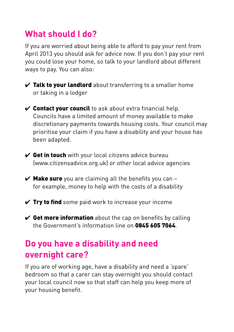### **What should I do?**

If you are worried about being able to afford to pay your rent from April 2013 you should ask for advice now. If you don't pay your rent you could lose your home, so talk to your landlord about different ways to pay. You can also:

- $\checkmark$  Talk to your landlord about transferring to a smaller home or taking in a lodger
- $\checkmark$  Contact your council to ask about extra financial help. Councils have a limited amount of money available to make discretionary payments towards housing costs. Your council may prioritise your claim if you have a disability and your house has been adapted.
- $\checkmark$  Get in touch with your local citizens advice bureau (www.citizensadvice.org.uk) or other local advice agencies
- $\vee$  Make sure you are claiming all the benefits you can for example, money to help with the costs of a disability
- $\checkmark$  Try to find some paid work to increase your income
- $\vee$  Get more information about the cap on benefits by calling the Government's information line on 0845 605 7064

### **Do you have a disability and need overnight care?**

If you are of working age, have a disability and need a 'spare' bedroom so that a carer can stay overnight you should contact your local council now so that staff can help you keep more of your housing benefit.